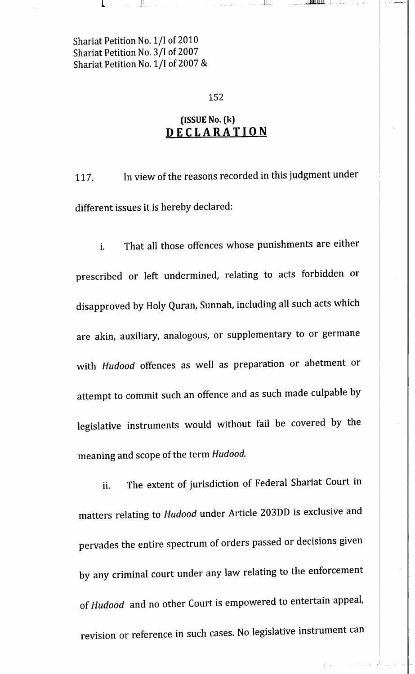#### 152

للطايات

ىنىڭ بىر بىل**ىك ئاتارلىقى**دىن

# (ISSUE No. (k) **DECLARATION**

117. In view of the reasons recorded in this judgment under different issues it is hereby declared:

i. That all those offences whose punishments are either prescribed or left undermined, relating to acts forbidden or disapproved by Holy Quran, Sunnah, including all such acts which are akin, auxiliary, analogous, or supplementary to or germane with *Hudood* offences as well as preparation or abetment or attempt to commit such an offence and as such made culpable by legislative instruments would without fail be covered by the meaning and scope of the term *Hudood.*

ii. The extent of jurisdiction of Federal Shariat Court in matters relating to *Hudood* under Article 203DD is exclusive and pervades the entire spectrum of orders passed or decisions given by any criminal court under any law relating to the enforcement of *Hudood* and no other Court is empowered to entertain appeal, revision or reference in such cases. No legislative instrument can

A Bank of Carl and an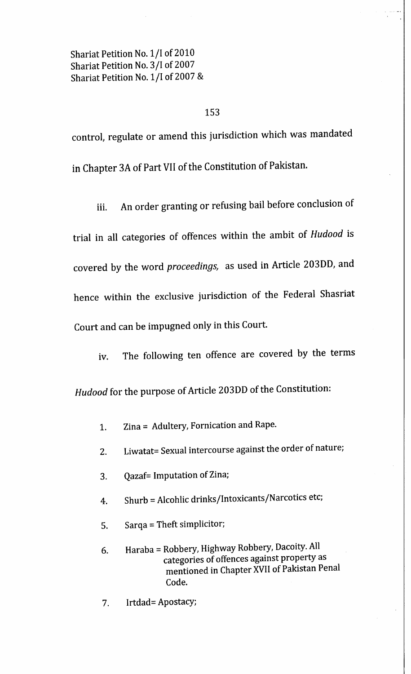#### 153

control, regulate or amend this jurisdiction which was mandated in Chapter 3A of Part VII of the Constitution of Pakistan.

iii. An order granting or refusing bail before conclusion of trial in all categories of offences within the ambit of *Hudood* is covered by the word *proceedings,* as used in Article 203DD, and hence within the exclusive jurisdiction of the Federal Shasriat Court and can be impugned only in this Court.

iv. The following ten offence are covered by the terms

*Hudood* for the purpose of Article 203DD of the Constitution:

- 1. Zina = Adultery, Fornication and Rape.
- 2. Liwatat= Sexual intercourse against the order of nature;
- 3. Qazaf= Imputation of Zina;
- 4. Shurb = Alcohlic drinks/Intoxicants/Narcotics etc;
- 5. Sarqa = Theft simplicitor;
- 6. Haraba = Robbery, Highway Robbery, Dacoity. All categories of offences against property as mentioned in Chapter XVII of Pakistan Penal Code.
- Irtdad= Apostacy; 7.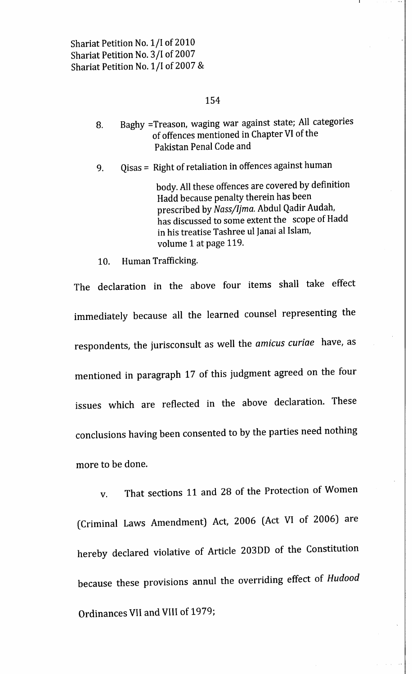### 154

- 8. Baghy =Treason, waging war against state; All categories of offences mentioned in Chapter VI of the Pakistan Penal Code and
- 9. Qisas = Right of retaliation in offences against human

body. All these offences are covered by definition Hadd because penalty therein has been prescribed by *Nassjljma.* Abdul Qadir Audah, has discussed to some extent the scope of Hadd in his treatise Tashree ul lanai al Islam, volume 1 at page 119.

10. Human Trafficking.

The declaration in the above four items shall take effect immediately because all the learned counsel representing the respondents, the jurisconsult as well the *amicus curiae* have, as mentioned in paragraph 17 of this judgment agreed on the four issues which are reflected in the above declaration. These conclusions having been consented to by the parties need nothing more to be done.

v. That sections 11 and 28 of the Protection of Women (Criminal Laws Amendment) Act, 2006 (Act VI of 2006) are hereby declared violative of Article 203DD of the Constitution because these provisions annul the overriding effect of *Hudood* Ordinances VII and VIII of 1979;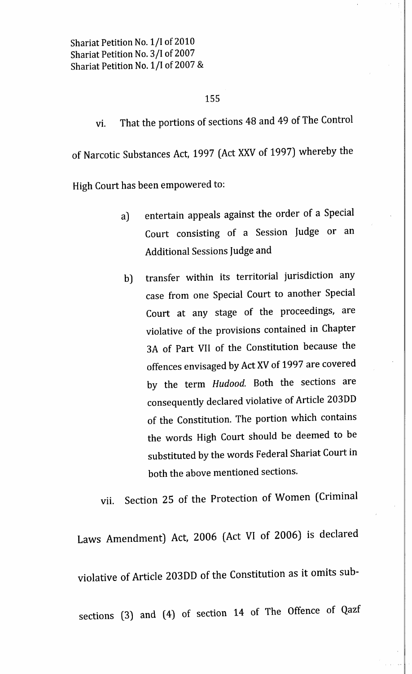### 155

vi. That the portions of sections 48 and 49 of The Control of Narcotic Substances Act, 1997 (Act XXV of 1997) whereby the

High Court has been empowered to:

- a) entertain appeals against the order of a Special Court consisting of a Session Judge or an Additional Sessions Judge and
- b) transfer within its territorial jurisdiction any case from one Special Court to another Special Court at any stage of the proceedings, are violative of the provisions contained in Chapter 3A of Part VII of the Constitution because the offences envisaged by Act XV of 1997 are covered by the term *Hudood.* Both the sections are consequently declared violative of Article 203DD of the Constitution. The portion which contains the words High Court should be deemed to be substituted by the words Federal Shariat Court in both the above mentioned sections.

vii. Section 25 of the Protection of Women (Criminal

Laws Amendment) Act, 2006 (Act VI of 2006) is declared violative of Article 203DD of the Constitution as it omits subsections (3) and (4) of section 14 of The Offence of Qazf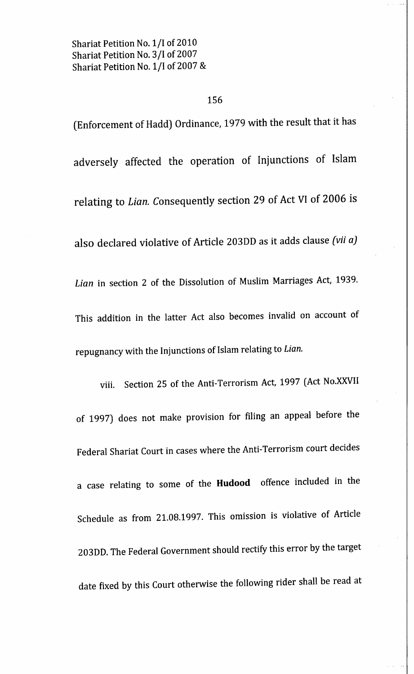## 156

(Enforcement of Hadd) Ordinance, 1979 with the result that it has adversely affected the operation of Injunctions of Islam relating to *Lian.* Consequently section 29 of Act VI of 2006 is also declared violative of Article 20300 as it adds clause *(vii* a] *Lian* in section 2 of the Dissolution of Muslim Marriages Act, 1939. This addition in the latter Act also becomes invalid on account of repugnancy with the Injunctions of Islam relating to *Lian.*

viii. Section 25 of the Anti-Terrorism Act, 1997 (Act No.XXVII of 1997) does not make provision for filing an appeal before the Federal Shariat Court in cases where the Anti-Terrorism court decides a case relating to some of the **Hudood** offence included in the Schedule as from 21.08.1997. This omission is violative of Article 203DD. The Federal Government should rectify this error by the target date fixed by this Court otherwise the following rider shall be read at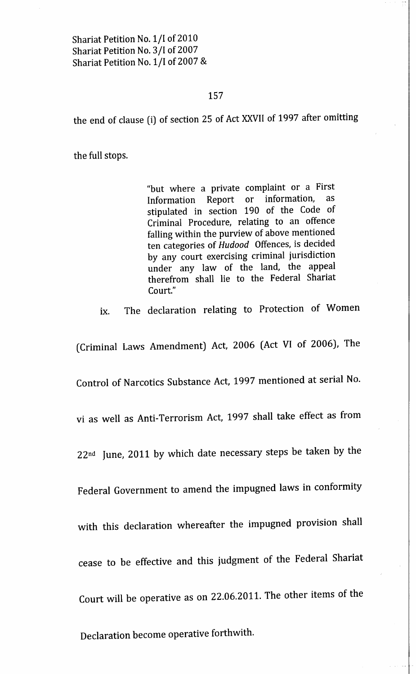#### 157

the end of clause (i) of section 25 of Act XXVII of 1997 after omitting

the full stops.

"but where a private complaint or a First Information Report or information, as stipulated in section 190 of the Code of Criminal Procedure, relating to an offence falling within the purview of above mentioned ten categories of *Hudood* Offences, is decided by any court exercising criminal jurisdiction under any law of the land, the appeal therefrom shall lie to the Federal Shariat Court."

ix. The declaration relating to Protection of Women

(Criminal Laws Amendment) Act, 2006 (Act VI of 2006), The

Control of Narcotics Substance Act, 1997 mentioned at serial No.

vi as well as Anti-Terrorism Act, 1997 shall take effect as from

22nd June, 2011 by which date necessary steps be taken by the

Federal Government to amend the impugned laws in conformity

with this declaration whereafter the impugned provision shall

cease to be effective and this judgment of the Federal Shariat

Court will be operative as on 22.06.2011. The other items of the

Declaration become operative forthwith.